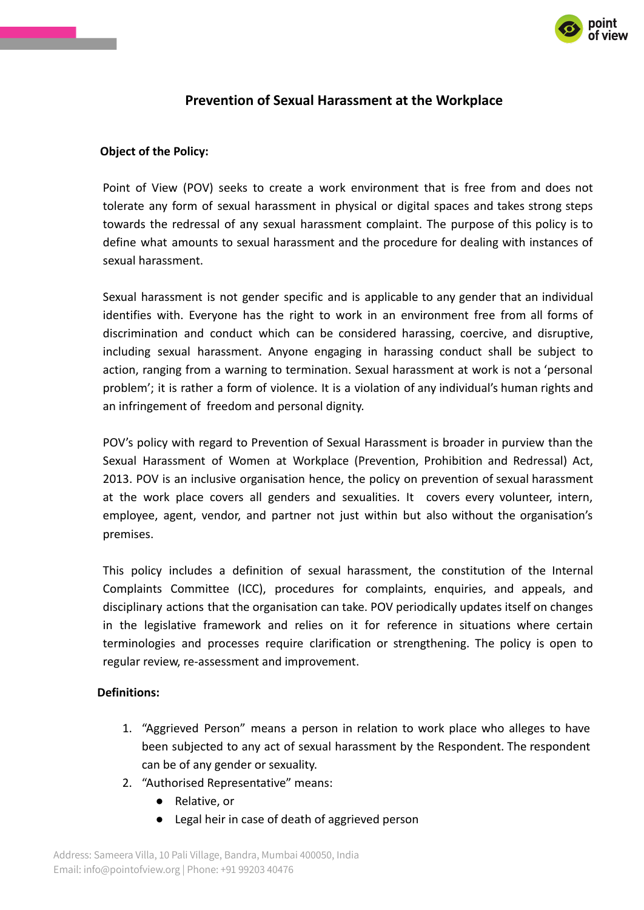

# **Prevention of Sexual Harassment at the Workplace**

### **Object of the Policy:**

Point of View (POV) seeks to create a work environment that is free from and does not tolerate any form of sexual harassment in physical or digital spaces and takes strong steps towards the redressal of any sexual harassment complaint. The purpose of this policy is to define what amounts to sexual harassment and the procedure for dealing with instances of sexual harassment.

Sexual harassment is not gender specific and is applicable to any gender that an individual identifies with. Everyone has the right to work in an environment free from all forms of discrimination and conduct which can be considered harassing, coercive, and disruptive, including sexual harassment. Anyone engaging in harassing conduct shall be subject to action, ranging from a warning to termination. Sexual harassment at work is not a 'personal problem'; it is rather a form of violence. It is a violation of any individual's human rights and an infringement of freedom and personal dignity.

POV's policy with regard to Prevention of Sexual Harassment is broader in purview than the Sexual Harassment of Women at Workplace (Prevention, Prohibition and Redressal) Act, 2013. POV is an inclusive organisation hence, the policy on prevention of sexual harassment at the work place covers all genders and sexualities. It covers every volunteer, intern, employee, agent, vendor, and partner not just within but also without the organisation's premises.

This policy includes a definition of sexual harassment, the constitution of the Internal Complaints Committee (ICC), procedures for complaints, enquiries, and appeals, and disciplinary actions that the organisation can take. POV periodically updates itself on changes in the legislative framework and relies on it for reference in situations where certain terminologies and processes require clarification or strengthening. The policy is open to regular review, re-assessment and improvement.

### **Definitions:**

- 1. "Aggrieved Person" means a person in relation to work place who alleges to have been subjected to any act of sexual harassment by the Respondent. The respondent can be of any gender or sexuality.
- 2. "Authorised Representative" means:
	- Relative, or
	- Legal heir in case of death of aggrieved person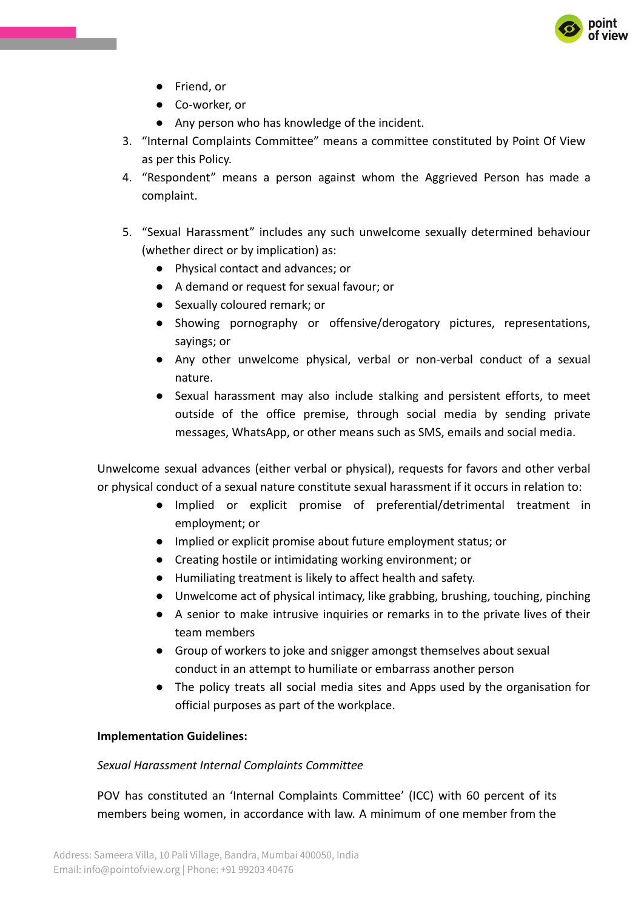

- Friend, or
- Co-worker, or
- Any person who has knowledge of the incident.
- 3. "Internal Complaints Committee" means a committee constituted by Point Of View as per this Policy.
- 4. "Respondent" means a person against whom the Aggrieved Person has made a complaint.
- 5. "Sexual Harassment" includes any such unwelcome sexually determined behaviour (whether direct or by implication) as:
	- Physical contact and advances; or
	- A demand or request for sexual favour; or
	- Sexually coloured remark; or
	- Showing pornography or offensive/derogatory pictures, representations, sayings; or
	- Any other unwelcome physical, verbal or non-verbal conduct of a sexual nature.
	- Sexual harassment may also include stalking and persistent efforts, to meet outside of the office premise, through social media by sending private messages, WhatsApp, or other means such as SMS, emails and social media.

Unwelcome sexual advances (either verbal or physical), requests for favors and other verbal or physical conduct of a sexual nature constitute sexual harassment if it occurs in relation to:

- Implied or explicit promise of preferential/detrimental treatment in employment; or
- Implied or explicit promise about future employment status; or
- Creating hostile or intimidating working environment; or
- Humiliating treatment is likely to affect health and safety.
- Unwelcome act of physical intimacy, like grabbing, brushing, touching, pinching
- A senior to make intrusive inquiries or remarks in to the private lives of their team members
- Group of workers to joke and snigger amongst themselves about sexual conduct in an attempt to humiliate or embarrass another person
- The policy treats all social media sites and Apps used by the organisation for official purposes as part of the workplace.

#### **Implementation Guidelines:**

#### *Sexual Harassment Internal Complaints Committee*

POV has constituted an 'Internal Complaints Committee' (ICC) with 60 percent of its members being women, in accordance with law. A minimum of one member from the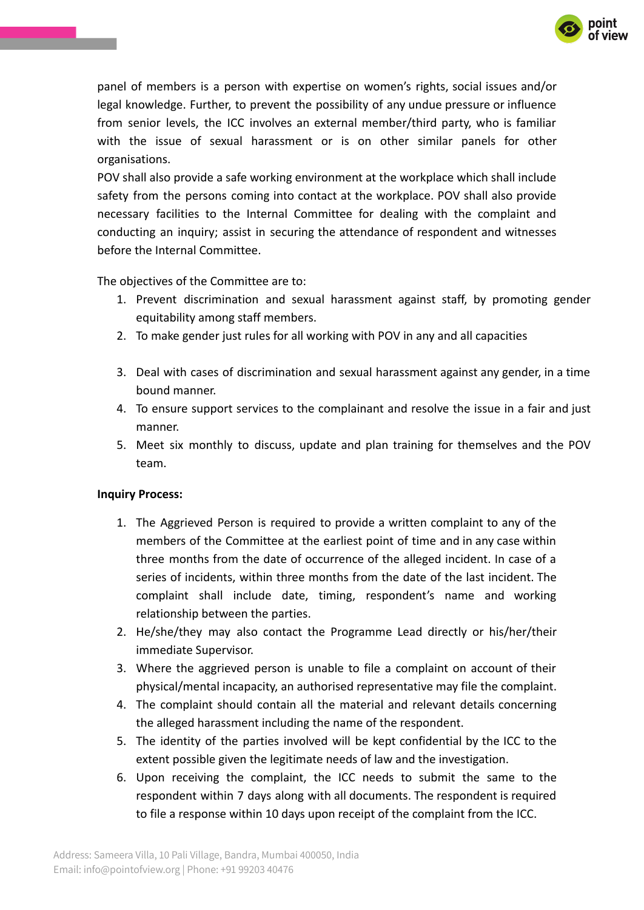

panel of members is a person with expertise on women's rights, social issues and/or legal knowledge. Further, to prevent the possibility of any undue pressure or influence from senior levels, the ICC involves an external member/third party, who is familiar with the issue of sexual harassment or is on other similar panels for other organisations.

POV shall also provide a safe working environment at the workplace which shall include safety from the persons coming into contact at the workplace. POV shall also provide necessary facilities to the Internal Committee for dealing with the complaint and conducting an inquiry; assist in securing the attendance of respondent and witnesses before the Internal Committee.

The objectives of the Committee are to:

- 1. Prevent discrimination and sexual harassment against staff, by promoting gender equitability among staff members.
- 2. To make gender just rules for all working with POV in any and all capacities
- 3. Deal with cases of discrimination and sexual harassment against any gender, in a time bound manner.
- 4. To ensure support services to the complainant and resolve the issue in a fair and just manner.
- 5. Meet six monthly to discuss, update and plan training for themselves and the POV team.

### **Inquiry Process:**

- 1. The Aggrieved Person is required to provide a written complaint to any of the members of the Committee at the earliest point of time and in any case within three months from the date of occurrence of the alleged incident. In case of a series of incidents, within three months from the date of the last incident. The complaint shall include date, timing, respondent's name and working relationship between the parties.
- 2. He/she/they may also contact the Programme Lead directly or his/her/their immediate Supervisor.
- 3. Where the aggrieved person is unable to file a complaint on account of their physical/mental incapacity, an authorised representative may file the complaint.
- 4. The complaint should contain all the material and relevant details concerning the alleged harassment including the name of the respondent.
- 5. The identity of the parties involved will be kept confidential by the ICC to the extent possible given the legitimate needs of law and the investigation.
- 6. Upon receiving the complaint, the ICC needs to submit the same to the respondent within 7 days along with all documents. The respondent is required to file a response within 10 days upon receipt of the complaint from the ICC.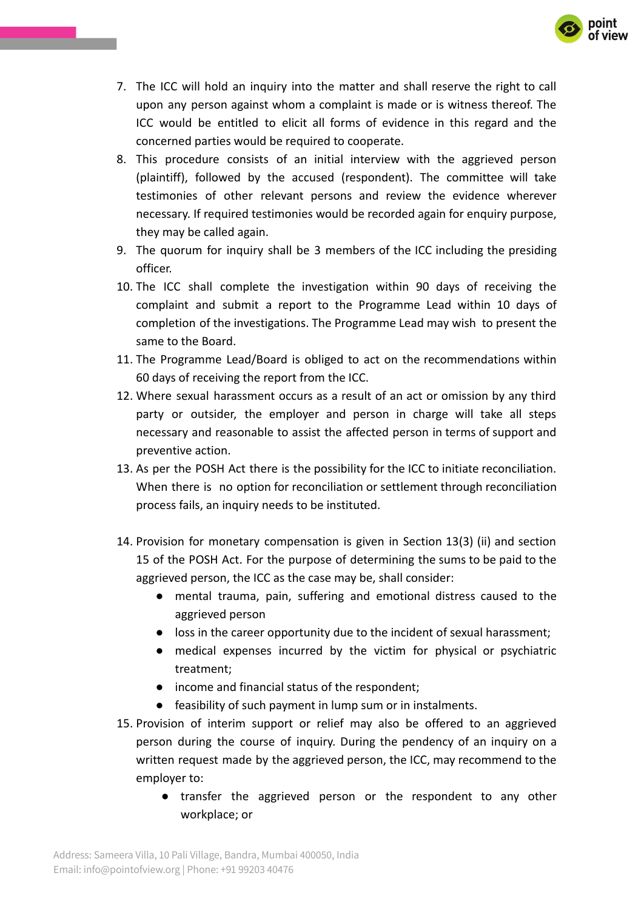

- 7. The ICC will hold an inquiry into the matter and shall reserve the right to call upon any person against whom a complaint is made or is witness thereof. The ICC would be entitled to elicit all forms of evidence in this regard and the concerned parties would be required to cooperate.
- 8. This procedure consists of an initial interview with the aggrieved person (plaintiff), followed by the accused (respondent). The committee will take testimonies of other relevant persons and review the evidence wherever necessary. If required testimonies would be recorded again for enquiry purpose, they may be called again.
- 9. The quorum for inquiry shall be 3 members of the ICC including the presiding officer.
- 10. The ICC shall complete the investigation within 90 days of receiving the complaint and submit a report to the Programme Lead within 10 days of completion of the investigations. The Programme Lead may wish to present the same to the Board.
- 11. The Programme Lead/Board is obliged to act on the recommendations within 60 days of receiving the report from the ICC.
- 12. Where sexual harassment occurs as a result of an act or omission by any third party or outsider, the employer and person in charge will take all steps necessary and reasonable to assist the affected person in terms of support and preventive action.
- 13. As per the POSH Act there is the possibility for the ICC to initiate reconciliation. When there is no option for reconciliation or settlement through reconciliation process fails, an inquiry needs to be instituted.
- 14. Provision for monetary compensation is given in Section 13(3) (ii) and section 15 of the POSH Act. For the purpose of determining the sums to be paid to the aggrieved person, the ICC as the case may be, shall consider:
	- mental trauma, pain, suffering and emotional distress caused to the aggrieved person
	- loss in the career opportunity due to the incident of sexual harassment;
	- medical expenses incurred by the victim for physical or psychiatric treatment;
	- income and financial status of the respondent;
	- feasibility of such payment in lump sum or in instalments.
- 15. Provision of interim support or relief may also be offered to an aggrieved person during the course of inquiry. During the pendency of an inquiry on a written request made by the aggrieved person, the ICC, may recommend to the employer to:
	- transfer the aggrieved person or the respondent to any other workplace; or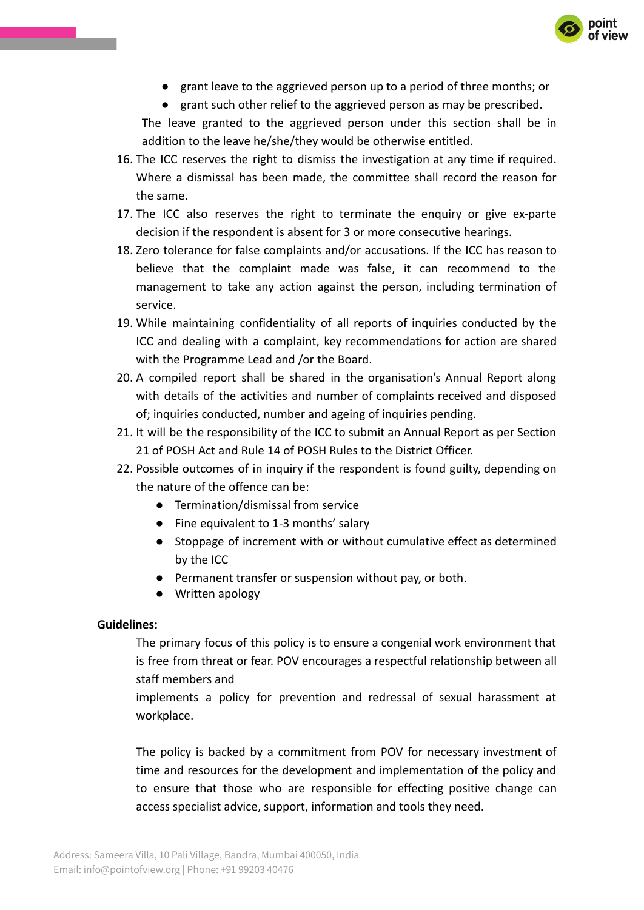

● grant leave to the aggrieved person up to a period of three months; or

● grant such other relief to the aggrieved person as may be prescribed.

The leave granted to the aggrieved person under this section shall be in addition to the leave he/she/they would be otherwise entitled.

- 16. The ICC reserves the right to dismiss the investigation at any time if required. Where a dismissal has been made, the committee shall record the reason for the same.
- 17. The ICC also reserves the right to terminate the enquiry or give ex-parte decision if the respondent is absent for 3 or more consecutive hearings.
- 18. Zero tolerance for false complaints and/or accusations. If the ICC has reason to believe that the complaint made was false, it can recommend to the management to take any action against the person, including termination of service.
- 19. While maintaining confidentiality of all reports of inquiries conducted by the ICC and dealing with a complaint, key recommendations for action are shared with the Programme Lead and /or the Board.
- 20. A compiled report shall be shared in the organisation's Annual Report along with details of the activities and number of complaints received and disposed of; inquiries conducted, number and ageing of inquiries pending.
- 21. It will be the responsibility of the ICC to submit an Annual Report as per Section 21 of POSH Act and Rule 14 of POSH Rules to the District Officer.
- 22. Possible outcomes of in inquiry if the respondent is found guilty, depending on the nature of the offence can be:
	- Termination/dismissal from service
	- Fine equivalent to 1-3 months' salary
	- Stoppage of increment with or without cumulative effect as determined by the ICC
	- Permanent transfer or suspension without pay, or both.
	- Written apology

### **Guidelines:**

The primary focus of this policy is to ensure a congenial work environment that is free from threat or fear. POV encourages a respectful relationship between all staff members and

implements a policy for prevention and redressal of sexual harassment at workplace.

The policy is backed by a commitment from POV for necessary investment of time and resources for the development and implementation of the policy and to ensure that those who are responsible for effecting positive change can access specialist advice, support, information and tools they need.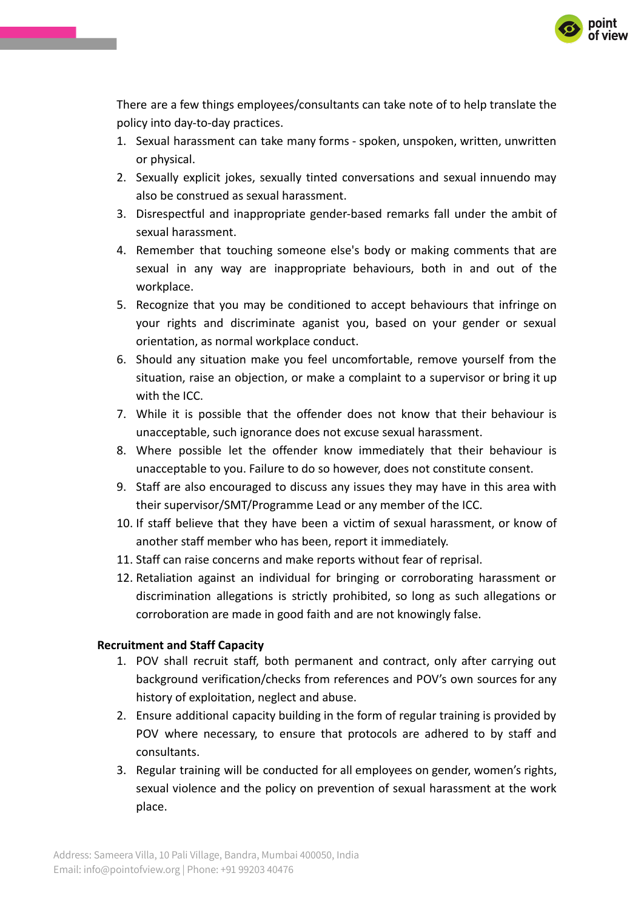

There are a few things employees/consultants can take note of to help translate the policy into day-to-day practices.

- 1. Sexual harassment can take many forms spoken, unspoken, written, unwritten or physical.
- 2. Sexually explicit jokes, sexually tinted conversations and sexual innuendo may also be construed as sexual harassment.
- 3. Disrespectful and inappropriate gender-based remarks fall under the ambit of sexual harassment.
- 4. Remember that touching someone else's body or making comments that are sexual in any way are inappropriate behaviours, both in and out of the workplace.
- 5. Recognize that you may be conditioned to accept behaviours that infringe on your rights and discriminate aganist you, based on your gender or sexual orientation, as normal workplace conduct.
- 6. Should any situation make you feel uncomfortable, remove yourself from the situation, raise an objection, or make a complaint to a supervisor or bring it up with the ICC.
- 7. While it is possible that the offender does not know that their behaviour is unacceptable, such ignorance does not excuse sexual harassment.
- 8. Where possible let the offender know immediately that their behaviour is unacceptable to you. Failure to do so however, does not constitute consent.
- 9. Staff are also encouraged to discuss any issues they may have in this area with their supervisor/SMT/Programme Lead or any member of the ICC.
- 10. If staff believe that they have been a victim of sexual harassment, or know of another staff member who has been, report it immediately.
- 11. Staff can raise concerns and make reports without fear of reprisal.
- 12. Retaliation against an individual for bringing or corroborating harassment or discrimination allegations is strictly prohibited, so long as such allegations or corroboration are made in good faith and are not knowingly false.

## **Recruitment and Staff Capacity**

- 1. POV shall recruit staff, both permanent and contract, only after carrying out background verification/checks from references and POV's own sources for any history of exploitation, neglect and abuse.
- 2. Ensure additional capacity building in the form of regular training is provided by POV where necessary, to ensure that protocols are adhered to by staff and consultants.
- 3. Regular training will be conducted for all employees on gender, women's rights, sexual violence and the policy on prevention of sexual harassment at the work place.